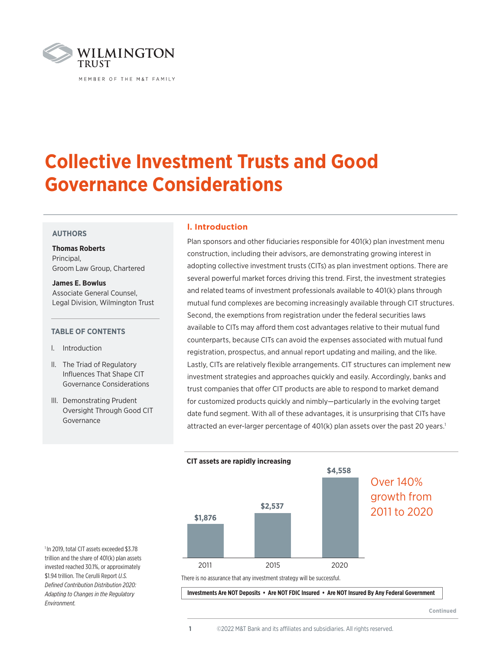

# **Collective Investment Trusts and Good Governance Considerations**

# **AUTHORS**

**Thomas Roberts**  Principal, Groom Law Group, Chartered

**James E. Bowlus** Associate General Counsel, Legal Division, Wilmington Trust

# **TABLE OF CONTENTS**

- l. Introduction
- ll. The Triad of Regulatory Influences That Shape CIT Governance Considerations
- lll. Demonstrating Prudent Oversight Through Good CIT Governance

# **l. Introduction**

Plan sponsors and other fiduciaries responsible for 401(k) plan investment menu construction, including their advisors, are demonstrating growing interest in adopting collective investment trusts (CITs) as plan investment options. There are several powerful market forces driving this trend. First, the investment strategies and related teams of investment professionals available to 401(k) plans through mutual fund complexes are becoming increasingly available through CIT structures. Second, the exemptions from registration under the federal securities laws available to CITs may afford them cost advantages relative to their mutual fund counterparts, because CITs can avoid the expenses associated with mutual fund registration, prospectus, and annual report updating and mailing, and the like. Lastly, CITs are relatively flexible arrangements. CIT structures can implement new investment strategies and approaches quickly and easily. Accordingly, banks and trust companies that offer CIT products are able to respond to market demand for customized products quickly and nimbly—particularly in the evolving target date fund segment. With all of these advantages, it is unsurprising that CITs have attracted an ever-larger percentage of  $401(k)$  plan assets over the past 20 years.<sup>1</sup>



There is no assurance that any investment strategy will be successful.

 **Investments Are NOT Deposits • Are NOT FDIC Insured • Are NOT Insured By Any Federal Government**

**Continued**

1 In 2019, total CIT assets exceeded \$3.78 trillion and the share of 401(k) plan assets invested reached 30.1%, or approximately \$1.94 trillion. The Cerulli Report *U.S. Defined Contribution Distribution 2020: Adapting to Changes in the Regulatory Environment.*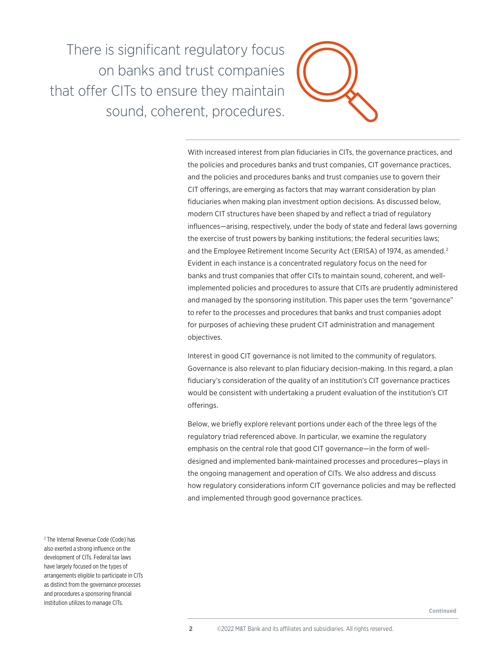There is significant regulatory focus on banks and trust companies that offer CITs to ensure they maintain sound, coherent, procedures.



With increased interest from plan fiduciaries in CITs, the governance practices, and the policies and procedures banks and trust companies, CIT governance practices, and the policies and procedures banks and trust companies use to govern their CIT offerings, are emerging as factors that may warrant consideration by plan fiduciaries when making plan investment option decisions. As discussed below, modern CIT structures have been shaped by and reflect a triad of regulatory influences—arising, respectively, under the body of state and federal laws governing the exercise of trust powers by banking institutions; the federal securities laws; and the Employee Retirement Income Security Act (ERISA) of 1974, as amended.<sup>2</sup> Evident in each instance is a concentrated regulatory focus on the need for banks and trust companies that offer CITs to maintain sound, coherent, and wellimplemented policies and procedures to assure that CITs are prudently administered and managed by the sponsoring institution. This paper uses the term "governance" to refer to the processes and procedures that banks and trust companies adopt for purposes of achieving these prudent CIT administration and management objectives.

Interest in good CIT governance is not limited to the community of regulators. Governance is also relevant to plan fiduciary decision-making. In this regard, a plan fiduciary's consideration of the quality of an institution's CIT governance practices would be consistent with undertaking a prudent evaluation of the institution's CIT offerings.

Below, we briefly explore relevant portions under each of the three legs of the regulatory triad referenced above. In particular, we examine the regulatory emphasis on the central role that good CIT governance—in the form of welldesigned and implemented bank-maintained processes and procedures—plays in the ongoing management and operation of CITs. We also address and discuss how regulatory considerations inform CIT governance policies and may be reflected and implemented through good governance practices.

2 The Internal Revenue Code (Code) has also exerted a strong influence on the development of CITs. Federal tax laws have largely focused on the types of arrangements eligible to participate in CITs as distinct from the governance processes and procedures a sponsoring financial institution utilizes to manage CITs.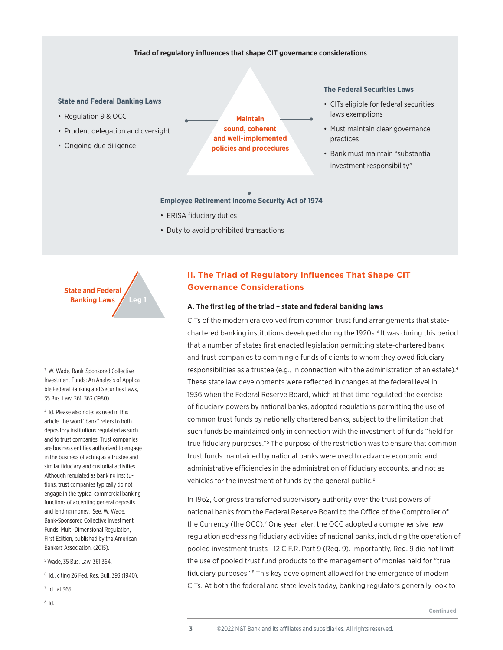# **Triad of regulatory influences that shape CIT governance considerations**

#### **State and Federal Banking Laws**

- Regulation 9 & OCC
- Prudent delegation and oversight
- Ongoing due diligence

**Maintain sound, coherent and well-implemented policies and procedures**

# **The Federal Securities Laws**

- CITs eligible for federal securities laws exemptions
- Must maintain clear governance practices
- Bank must maintain "substantial investment responsibility"

**Employee Retirement Income Security Act of 1974**

- ERISA fiduciary duties
- Duty to avoid prohibited transactions

**State and Federal Banking Laws Leg 1**

<sup>3</sup> W. Wade, Bank-Sponsored Collective Investment Funds: An Analysis of Applicable Federal Banking and Securities Laws, 35 Bus. Law. 361, 363 (1980).

4 Id. Please also note: as used in this article, the word "bank" refers to both depository institutions regulated as such and to trust companies. Trust companies are business entities authorized to engage in the business of acting as a trustee and similar fiduciary and custodial activities. Although regulated as banking institutions, trust companies typically do not engage in the typical commercial banking functions of accepting general deposits and lending money. See, W. Wade, Bank-Sponsored Collective Investment Funds: Multi-Dimensional Regulation, First Edition, published by the American Bankers Association, (2015).

5 Wade, 35 Bus. Law. 361,364.

6 Id., citing 26 Fed. Res. Bull. 393 (1940).

7 Id., at 365.

 $^8$  Id.

# **II. The Triad of Regulatory Influences That Shape CIT Governance Considerations**

# **A. The first leg of the triad – state and federal banking laws**

CITs of the modern era evolved from common trust fund arrangements that statechartered banking institutions developed during the 1920s.<sup>3</sup> It was during this period that a number of states first enacted legislation permitting state-chartered bank and trust companies to commingle funds of clients to whom they owed fiduciary responsibilities as a trustee (e.g., in connection with the administration of an estate).<sup>4</sup> These state law developments were reflected in changes at the federal level in 1936 when the Federal Reserve Board, which at that time regulated the exercise of fiduciary powers by national banks, adopted regulations permitting the use of common trust funds by nationally chartered banks, subject to the limitation that such funds be maintained only in connection with the investment of funds "held for true fiduciary purposes."<sup>5</sup> The purpose of the restriction was to ensure that common trust funds maintained by national banks were used to advance economic and administrative efficiencies in the administration of fiduciary accounts, and not as vehicles for the investment of funds by the general public.<sup>6</sup>

In 1962, Congress transferred supervisory authority over the trust powers of national banks from the Federal Reserve Board to the Office of the Comptroller of the Currency (the OCC).<sup>7</sup> One year later, the OCC adopted a comprehensive new regulation addressing fiduciary activities of national banks, including the operation of pooled investment trusts—12 C.F.R. Part 9 (Reg. 9). Importantly, Reg. 9 did not limit the use of pooled trust fund products to the management of monies held for "true fiduciary purposes."<sup>8</sup> This key development allowed for the emergence of modern CITs. At both the federal and state levels today, banking regulators generally look to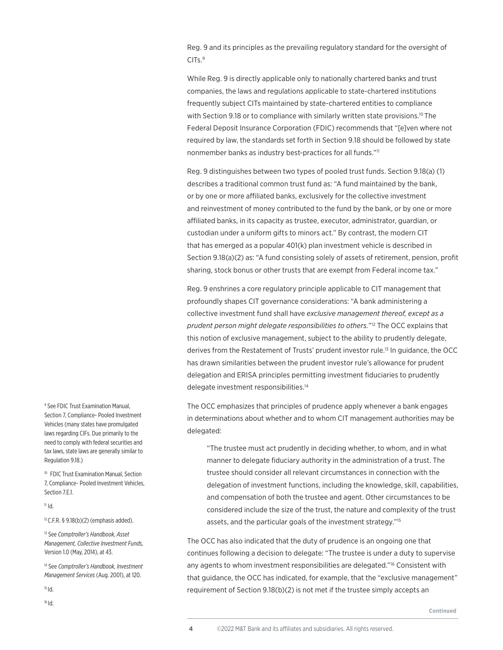Reg. 9 and its principles as the prevailing regulatory standard for the oversight of CITs.<sup>9</sup>

While Reg. 9 is directly applicable only to nationally chartered banks and trust companies, the laws and regulations applicable to state-chartered institutions frequently subject CITs maintained by state-chartered entities to compliance with Section 9.18 or to compliance with similarly written state provisions.<sup>10</sup> The Federal Deposit Insurance Corporation (FDIC) recommends that "[e]ven where not required by law, the standards set forth in Section 9.18 should be followed by state nonmember banks as industry best-practices for all funds."11

Reg. 9 distinguishes between two types of pooled trust funds. Section 9.18(a) (1) describes a traditional common trust fund as: "A fund maintained by the bank, or by one or more affiliated banks, exclusively for the collective investment and reinvestment of money contributed to the fund by the bank, or by one or more affiliated banks, in its capacity as trustee, executor, administrator, guardian, or custodian under a uniform gifts to minors act." By contrast, the modern CIT that has emerged as a popular 401(k) plan investment vehicle is described in Section 9.18(a)(2) as: "A fund consisting solely of assets of retirement, pension, profit sharing, stock bonus or other trusts that are exempt from Federal income tax."

Reg. 9 enshrines a core regulatory principle applicable to CIT management that profoundly shapes CIT governance considerations: "A bank administering a collective investment fund shall have *exclusive management thereof, except as a prudent person might delegate responsibilities to others.*"12 The OCC explains that this notion of exclusive management, subject to the ability to prudently delegate, derives from the Restatement of Trusts' prudent investor rule.13 In guidance, the OCC has drawn similarities between the prudent investor rule's allowance for prudent delegation and ERISA principles permitting investment fiduciaries to prudently delegate investment responsibilities.14

The OCC emphasizes that principles of prudence apply whenever a bank engages in determinations about whether and to whom CIT management authorities may be delegated:

"The trustee must act prudently in deciding whether, to whom, and in what manner to delegate fiduciary authority in the administration of a trust. The trustee should consider all relevant circumstances in connection with the delegation of investment functions, including the knowledge, skill, capabilities, and compensation of both the trustee and agent. Other circumstances to be considered include the size of the trust, the nature and complexity of the trust assets, and the particular goals of the investment strategy."15

The OCC has also indicated that the duty of prudence is an ongoing one that continues following a decision to delegate: "The trustee is under a duty to supervise any agents to whom investment responsibilities are delegated."16 Consistent with that guidance, the OCC has indicated, for example, that the "exclusive management" requirement of Section 9.18(b)(2) is not met if the trustee simply accepts an

9 See FDIC Trust Examination Manual, Section 7, Compliance- Pooled Investment Vehicles (many states have promulgated laws regarding CIFs. Due primarily to the need to comply with federal securities and tax laws, state laws are generally similar to Regulation 9.18.)

10 FDIC Trust Examination Manual, Section 7, Compliance- Pooled Investment Vehicles, Section 7.E.1.

#### $11$  Id.

 $12$  C.F.R. § 9.18(b)(2) (emphasis added).

13 See *Comptroller's Handbook, Asset Management, Collective Investment Funds,*  Version 1.0 (May, 2014), at 43.

14 See *Comptroller's Handbook, Investment Management Services* (Aug. 2001), at 120.

15 Id.

16 Id.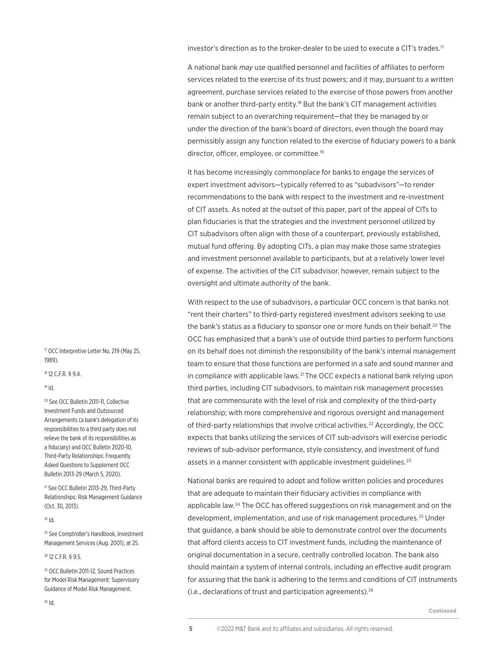investor's direction as to the broker-dealer to be used to execute a CIT's trades.17

A national bank *may* use qualified personnel and facilities of affiliates to perform services related to the exercise of its trust powers; and it may, pursuant to a written agreement, purchase services related to the exercise of those powers from another bank or another third-party entity.<sup>18</sup> But the bank's CIT management activities remain subject to an overarching requirement—that they be managed by or under the direction of the bank's board of directors, even though the board may permissibly assign any function related to the exercise of fiduciary powers to a bank director, officer, employee, or committee.19

It has become increasingly commonplace for banks to engage the services of expert investment advisors—typically referred to as "subadvisors"—to render recommendations to the bank with respect to the investment and re-investment of CIT assets. As noted at the outset of this paper, part of the appeal of CITs to plan fiduciaries is that the strategies and the investment personnel utilized by CIT subadvisors often align with those of a counterpart, previously established, mutual fund offering. By adopting CITs, a plan may make those same strategies and investment personnel available to participants, but at a relatively lower level of expense. The activities of the CIT subadvisor, however, remain subject to the oversight and ultimate authority of the bank.

With respect to the use of subadvisors, a particular OCC concern is that banks not "rent their charters" to third-party registered investment advisors seeking to use the bank's status as a fiduciary to sponsor one or more funds on their behalf.<sup>20</sup> The OCC has emphasized that a bank's use of outside third parties to perform functions on its behalf does not diminish the responsibility of the bank's internal management team to ensure that those functions are performed in a safe and sound manner and in compliance with applicable laws.<sup>21</sup> The OCC expects a national bank relying upon third parties, including CIT subadvisors, to maintain risk management processes that are commensurate with the level of risk and complexity of the third-party relationship; with more comprehensive and rigorous oversight and management of third-party relationships that involve critical activities.<sup>22</sup> Accordingly, the OCC expects that banks utilizing the services of CIT sub-advisors will exercise periodic reviews of sub-advisor performance, style consistency, and investment of fund assets in a manner consistent with applicable investment guidelines.<sup>23</sup>

National banks are required to adopt and follow written policies and procedures that are adequate to maintain their fiduciary activities in compliance with applicable law.<sup>24</sup> The OCC has offered suggestions on risk management and on the development, implementation, and use of risk management procedures.25 Under that guidance, a bank should be able to demonstrate control over the documents that afford clients access to CIT investment funds, including the maintenance of original documentation in a secure, centrally controlled location. The bank also should maintain a system of internal controls, including an effective audit program for assuring that the bank is adhering to the terms and conditions of CIT instruments (i.e., declarations of trust and participation agreements).<sup>26</sup>

**Continued**

<sup>17</sup> OCC Interpretive Letter No, 219 (May 25, 1989).

18 12 C.F.R. § 9.4.

# 19 Id.

20 See OCC Bulletin 2011-11, Collective Investment Funds and Outsourced Arrangements (a bank's delegation of its responsibilities to a third party does not relieve the bank of its responsibilities as a fiduciary) and OCC Bulletin 2020-10, Third-Party Relationships: Frequently Asked Questions to Supplement OCC Bulletin 2013-29 (March 5, 2020).

21 See OCC Bulletin 2013-29, Third-Party Relationships: Risk Management Guidance (Oct. 30, 2013).

#### 22 Id.

<sup>23</sup> See Comptroller's Handbook, Investment Management Services (Aug. 2001), at 25.

#### 24 12 C.F.R. § 9.5.

25 OCC Bulletin 2011-12, Sound Practices for Model Risk Management: Supervisory Guidance of Model Risk Management.

 $26$   $\text{Id}$ .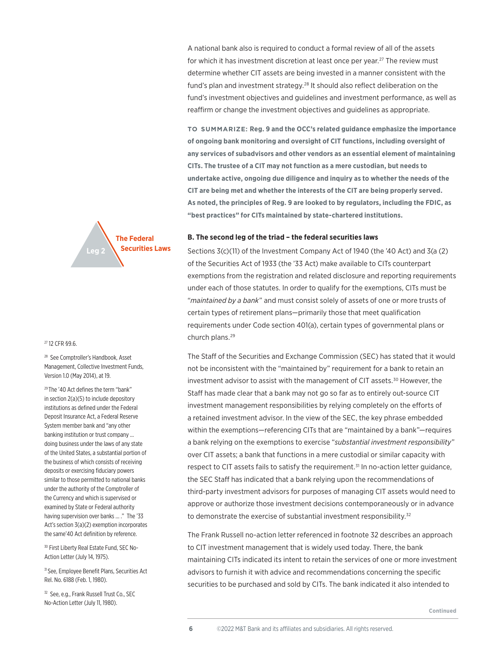A national bank also is required to conduct a formal review of all of the assets for which it has investment discretion at least once per year.<sup>27</sup> The review must determine whether CIT assets are being invested in a manner consistent with the fund's plan and investment strategy.<sup>28</sup> It should also reflect deliberation on the fund's investment objectives and guidelines and investment performance, as well as reaffirm or change the investment objectives and guidelines as appropriate.

**to summarize: Reg. 9 and the OCC's related guidance emphasize the importance of ongoing bank monitoring and oversight of CIT functions, including oversight of any services of subadvisors and other vendors as an essential element of maintaining CITs. The trustee of a CIT may not function as a mere custodian, but needs to undertake active, ongoing due diligence and inquiry as to whether the needs of the CIT are being met and whether the interests of the CIT are being properly served. As noted, the principles of Reg. 9 are looked to by regulators, including the FDIC, as "best practices" for CITs maintained by state-chartered institutions.** 



#### 27 12 CFR §9.6.

<sup>28</sup> See Comptroller's Handbook, Asset Management, Collective Investment Funds, Version 1.0 (May 2014), at 19.

29 The '40 Act defines the term "bank" in section 2(a)(5) to include depository institutions as defined under the Federal Deposit Insurance Act, a Federal Reserve System member bank and "any other banking institution or trust company … doing business under the laws of any state of the United States, a substantial portion of the business of which consists of receiving deposits or exercising fiduciary powers similar to those permitted to national banks under the authority of the Comptroller of the Currency and which is supervised or examined by State or Federal authority having supervision over banks ... ." The '33 Act's section 3(a)(2) exemption incorporates the same'40 Act definition by reference.

30 First Liberty Real Estate Fund, SEC No-Action Letter (July 14, 1975).

31 See, Employee Benefit Plans, Securities Act Rel. No. 6188 (Feb. 1, 1980).

<sup>32</sup> See, e.g., Frank Russell Trust Co., SEC No-Action Letter (July 11, 1980).

#### **B. The second leg of the triad – the federal securities laws**

Sections 3(c)(11) of the Investment Company Act of 1940 (the '40 Act) and 3(a (2) of the Securities Act of 1933 (the '33 Act) make available to CITs counterpart exemptions from the registration and related disclosure and reporting requirements under each of those statutes. In order to qualify for the exemptions, CITs must be "*maintained by a bank*" and must consist solely of assets of one or more trusts of certain types of retirement plans—primarily those that meet qualification requirements under Code section 401(a), certain types of governmental plans or church plans.29

The Staff of the Securities and Exchange Commission (SEC) has stated that it would not be inconsistent with the "maintained by" requirement for a bank to retain an investment advisor to assist with the management of CIT assets.<sup>30</sup> However, the Staff has made clear that a bank may not go so far as to entirely out-source CIT investment management responsibilities by relying completely on the efforts of a retained investment advisor. In the view of the SEC, the key phrase embedded within the exemptions—referencing CITs that are "maintained by a bank"—requires a bank relying on the exemptions to exercise "*substantial investment responsibility*" over CIT assets; a bank that functions in a mere custodial or similar capacity with respect to CIT assets fails to satisfy the requirement.31 In no-action letter guidance, the SEC Staff has indicated that a bank relying upon the recommendations of third-party investment advisors for purposes of managing CIT assets would need to approve or authorize those investment decisions contemporaneously or in advance to demonstrate the exercise of substantial investment responsibility.<sup>32</sup>

The Frank Russell no-action letter referenced in footnote 32 describes an approach to CIT investment management that is widely used today. There, the bank maintaining CITs indicated its intent to retain the services of one or more investment advisors to furnish it with advice and recommendations concerning the specific securities to be purchased and sold by CITs. The bank indicated it also intended to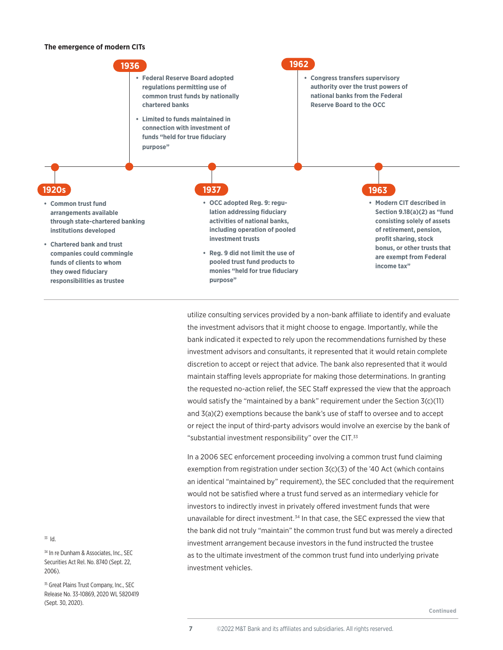#### **The emergence of modern CITs**



utilize consulting services provided by a non-bank affiliate to identify and evaluate the investment advisors that it might choose to engage. Importantly, while the bank indicated it expected to rely upon the recommendations furnished by these investment advisors and consultants, it represented that it would retain complete discretion to accept or reject that advice. The bank also represented that it would maintain staffing levels appropriate for making those determinations. In granting the requested no-action relief, the SEC Staff expressed the view that the approach would satisfy the "maintained by a bank" requirement under the Section 3(c)(11) and 3(a)(2) exemptions because the bank's use of staff to oversee and to accept or reject the input of third-party advisors would involve an exercise by the bank of "substantial investment responsibility" over the CIT.<sup>33</sup>

In a 2006 SEC enforcement proceeding involving a common trust fund claiming exemption from registration under section 3(c)(3) of the '40 Act (which contains an identical "maintained by" requirement), the SEC concluded that the requirement would not be satisfied where a trust fund served as an intermediary vehicle for investors to indirectly invest in privately offered investment funds that were unavailable for direct investment.<sup>34</sup> In that case, the SEC expressed the view that the bank did not truly "maintain" the common trust fund but was merely a directed investment arrangement because investors in the fund instructed the trustee as to the ultimate investment of the common trust fund into underlying private investment vehicles.

33 Id.

34 In re Dunham & Associates, Inc., SEC Securities Act Rel. No. 8740 (Sept. 22, 2006).

<sup>35</sup> Great Plains Trust Company, Inc., SEC Release No. 33-10869, 2020 WL 5820419 (Sept. 30, 2020).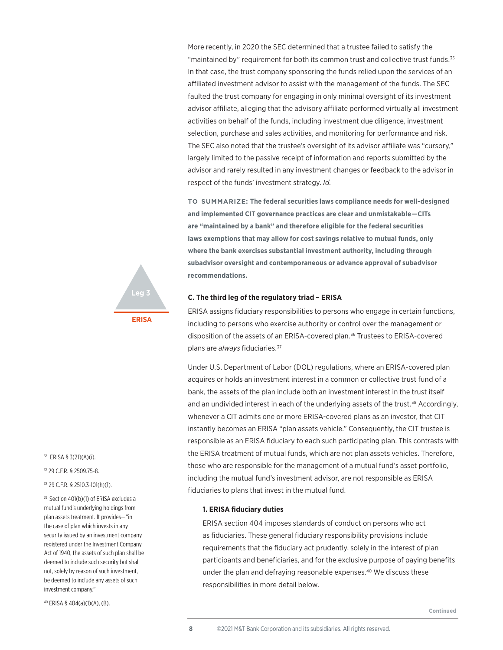More recently, in 2020 the SEC determined that a trustee failed to satisfy the "maintained by" requirement for both its common trust and collective trust funds.<sup>35</sup> In that case, the trust company sponsoring the funds relied upon the services of an affiliated investment advisor to assist with the management of the funds. The SEC faulted the trust company for engaging in only minimal oversight of its investment advisor affiliate, alleging that the advisory affiliate performed virtually all investment activities on behalf of the funds, including investment due diligence, investment selection, purchase and sales activities, and monitoring for performance and risk. The SEC also noted that the trustee's oversight of its advisor affiliate was "cursory," largely limited to the passive receipt of information and reports submitted by the advisor and rarely resulted in any investment changes or feedback to the advisor in respect of the funds' investment strategy. *Id.*

**to summarize: The federal securities laws compliance needs for well-designed and implemented CIT governance practices are clear and unmistakable—CITs are "maintained by a bank" and therefore eligible for the federal securities laws exemptions that may allow for cost savings relative to mutual funds, only where the bank exercises substantial investment authority, including through subadvisor oversight and contemporaneous or advance approval of subadvisor recommendations.** 

# **C. The third leg of the regulatory triad – ERISA**



ERISA assigns fiduciary responsibilities to persons who engage in certain functions, including to persons who exercise authority or control over the management or disposition of the assets of an ERISA-covered plan.<sup>36</sup> Trustees to ERISA-covered plans are *always* fiduciaries.37

Under U.S. Department of Labor (DOL) regulations, where an ERISA-covered plan acquires or holds an investment interest in a common or collective trust fund of a bank, the assets of the plan include both an investment interest in the trust itself and an undivided interest in each of the underlying assets of the trust.<sup>38</sup> Accordingly, whenever a CIT admits one or more ERISA-covered plans as an investor, that CIT instantly becomes an ERISA "plan assets vehicle." Consequently, the CIT trustee is responsible as an ERISA fiduciary to each such participating plan. This contrasts with the ERISA treatment of mutual funds, which are not plan assets vehicles. Therefore, those who are responsible for the management of a mutual fund's asset portfolio, including the mutual fund's investment advisor, are not responsible as ERISA fiduciaries to plans that invest in the mutual fund.

#### **1. ERISA fiduciary duties**

ERISA section 404 imposes standards of conduct on persons who act as fiduciaries. These general fiduciary responsibility provisions include requirements that the fiduciary act prudently, solely in the interest of plan participants and beneficiaries, and for the exclusive purpose of paying benefits under the plan and defraying reasonable expenses.<sup>40</sup> We discuss these responsibilities in more detail below.

36 ERISA § 3(21)(A)(i).

37 29 C.F.R. § 2509.75-8.

38 29 C.F.R. § 2510.3-101(h)(1).

39 Section 401(b)(1) of ERISA excludes a mutual fund's underlying holdings from plan assets treatment. It provides—"in the case of plan which invests in any security issued by an investment company registered under the Investment Company Act of 1940, the assets of such plan shall be deemed to include such security but shall not, solely by reason of such investment, be deemed to include any assets of such investment company."

40 ERISA § 404(a)(1)(A), (B).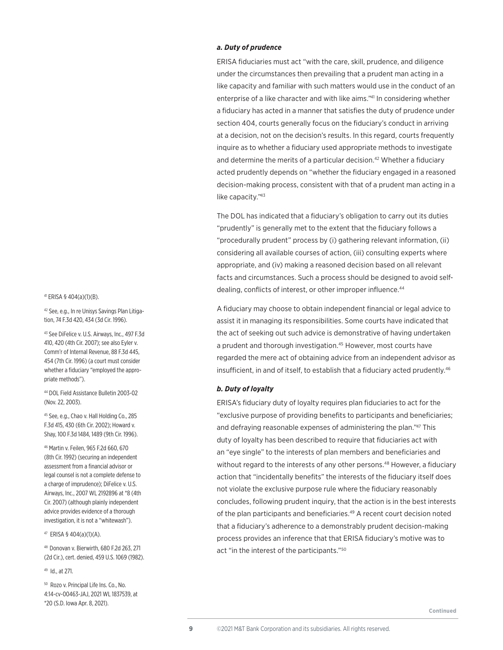#### 41 ERISA § 404(a)(1)(B).

42 See, e.g., In re Unisys Savings Plan Litigation, 74 F.3d 420, 434 (3d Cir. 1996).

43 See DiFelice v. U.S. Airways, Inc., 497 F.3d 410, 420 (4th Cir. 2007); see also Eyler v. Comm'r of Internal Revenue, 88 F.3d 445, 454 (7th Cir. 1996) (a court must consider whether a fiduciary "employed the appropriate methods").

44 DOL Field Assistance Bulletin 2003-02 (Nov. 22, 2003).

45 See, e.g., Chao v. Hall Holding Co., 285 F.3d 415, 430 (6th Cir. 2002); Howard v. Shay, 100 F.3d 1484, 1489 (9th Cir. 1996).

46 Martin v. Feilen, 965 F.2d 660, 670 (8th Cir. 1992) (securing an independent assessment from a financial advisor or legal counsel is not a complete defense to a charge of imprudence); DiFelice v. U.S. Airways, Inc., 2007 WL 2192896 at \*8 (4th Cir. 2007) (although plainly independent advice provides evidence of a thorough investigation, it is not a "whitewash").

47 ERISA § 404(a)(1)(A).

48 Donovan v. Bierwirth, 680 F.2d 263, 271 (2d Cir.), cert. denied, 459 U.S. 1069 (1982).

49 Id., at 271.

50 Rozo v. Principal Life Ins. Co., No. 4:14-cv-00463-JAJ, 2021 WL 1837539, at \*20 (S.D. Iowa Apr. 8, 2021).

# *a. Duty of prudence*

ERISA fiduciaries must act "with the care, skill, prudence, and diligence under the circumstances then prevailing that a prudent man acting in a like capacity and familiar with such matters would use in the conduct of an enterprise of a like character and with like aims."41 In considering whether a fiduciary has acted in a manner that satisfies the duty of prudence under section 404, courts generally focus on the fiduciary's conduct in arriving at a decision, not on the decision's results. In this regard, courts frequently inquire as to whether a fiduciary used appropriate methods to investigate and determine the merits of a particular decision.<sup>42</sup> Whether a fiduciary acted prudently depends on "whether the fiduciary engaged in a reasoned decision-making process, consistent with that of a prudent man acting in a like capacity."43

The DOL has indicated that a fiduciary's obligation to carry out its duties "prudently" is generally met to the extent that the fiduciary follows a "procedurally prudent" process by (i) gathering relevant information, (ii) considering all available courses of action, (iii) consulting experts where appropriate, and (iv) making a reasoned decision based on all relevant facts and circumstances. Such a process should be designed to avoid selfdealing, conflicts of interest, or other improper influence.<sup>44</sup>

A fiduciary may choose to obtain independent financial or legal advice to assist it in managing its responsibilities. Some courts have indicated that the act of seeking out such advice is demonstrative of having undertaken a prudent and thorough investigation.<sup>45</sup> However, most courts have regarded the mere act of obtaining advice from an independent advisor as insufficient, in and of itself, to establish that a fiduciary acted prudently.46

# *b. Duty of loyalty*

ERISA's fiduciary duty of loyalty requires plan fiduciaries to act for the "exclusive purpose of providing benefits to participants and beneficiaries; and defraying reasonable expenses of administering the plan."47 This duty of loyalty has been described to require that fiduciaries act with an "eye single" to the interests of plan members and beneficiaries and without regard to the interests of any other persons.<sup>48</sup> However, a fiduciary action that "incidentally benefits" the interests of the fiduciary itself does not violate the exclusive purpose rule where the fiduciary reasonably concludes, following prudent inquiry, that the action is in the best interests of the plan participants and beneficiaries.49 A recent court decision noted that a fiduciary's adherence to a demonstrably prudent decision-making process provides an inference that that ERISA fiduciary's motive was to act "in the interest of the participants."50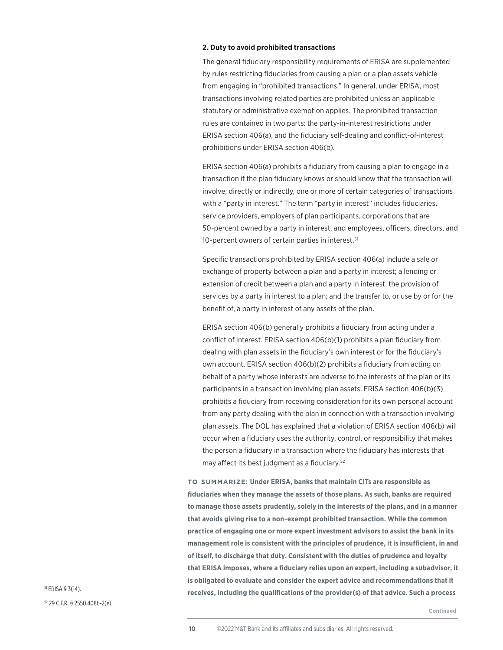#### **2. Duty to avoid prohibited transactions**

The general fiduciary responsibility requirements of ERISA are supplemented by rules restricting fiduciaries from causing a plan or a plan assets vehicle from engaging in "prohibited transactions." In general, under ERISA, most transactions involving related parties are prohibited unless an applicable statutory or administrative exemption applies. The prohibited transaction rules are contained in two parts: the party-in-interest restrictions under ERISA section 406(a), and the fiduciary self-dealing and conflict-of-interest prohibitions under ERISA section 406(b).

ERISA section 406(a) prohibits a fiduciary from causing a plan to engage in a transaction if the plan fiduciary knows or should know that the transaction will involve, directly or indirectly, one or more of certain categories of transactions with a "party in interest." The term "party in interest" includes fiduciaries, service providers, employers of plan participants, corporations that are 50-percent owned by a party in interest, and employees, officers, directors, and 10-percent owners of certain parties in interest.<sup>51</sup>

Specific transactions prohibited by ERISA section 406(a) include a sale or exchange of property between a plan and a party in interest; a lending or extension of credit between a plan and a party in interest; the provision of services by a party in interest to a plan; and the transfer to, or use by or for the benefit of, a party in interest of any assets of the plan.

ERISA section 406(b) generally prohibits a fiduciary from acting under a conflict of interest. ERISA section 406(b)(1) prohibits a plan fiduciary from dealing with plan assets in the fiduciary's own interest or for the fiduciary's own account. ERISA section 406(b)(2) prohibits a fiduciary from acting on behalf of a party whose interests are adverse to the interests of the plan or its participants in a transaction involving plan assets. ERISA section 406(b)(3) prohibits a fiduciary from receiving consideration for its own personal account from any party dealing with the plan in connection with a transaction involving plan assets. The DOL has explained that a violation of ERISA section 406(b) will occur when a fiduciary uses the authority, control, or responsibility that makes the person a fiduciary in a transaction where the fiduciary has interests that may affect its best judgment as a fiduciary.52

**to summarize: Under ERISA, banks that maintain CITs are responsible as fiduciaries when they manage the assets of those plans. As such, banks are required to manage those assets prudently, solely in the interests of the plans, and in a manner that avoids giving rise to a non-exempt prohibited transaction. While the common practice of engaging one or more expert investment advisors to assist the bank in its management role is consistent with the principles of prudence, it is insufficient, in and of itself, to discharge that duty. Consistent with the duties of prudence and loyalty that ERISA imposes, where a fiduciary relies upon an expert, including a subadvisor, it is obligated to evaluate and consider the expert advice and recommendations that it rights** ERISA § 3(14). **ERISA § 3(14).** The summan service of the service of the provider(s) of that advice. Such a process including the qualifications of the provider(s) of that advice. Such a process

52 29 C.F.R. § 2550.408b-2(e).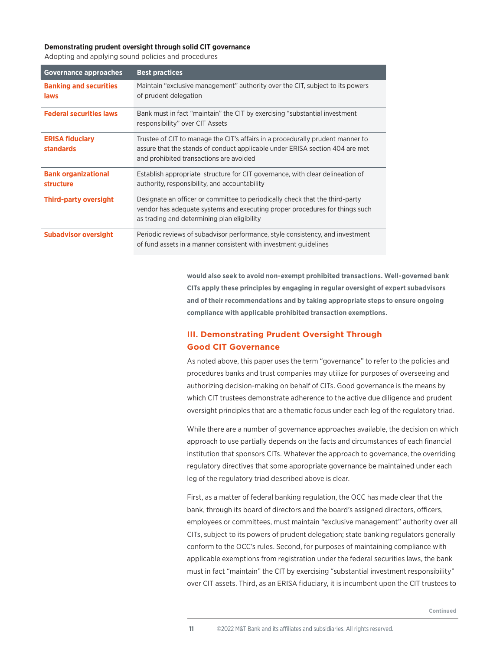# **Demonstrating prudent oversight through solid CIT governance**

Adopting and applying sound policies and procedures

| <b>Governance approaches</b>               | <b>Best practices</b>                                                                                                                                                                                      |
|--------------------------------------------|------------------------------------------------------------------------------------------------------------------------------------------------------------------------------------------------------------|
| <b>Banking and securities</b><br>laws      | Maintain "exclusive management" authority over the CIT, subject to its powers<br>of prudent delegation                                                                                                     |
| <b>Federal securities laws</b>             | Bank must in fact "maintain" the CIT by exercising "substantial investment<br>responsibility" over CIT Assets                                                                                              |
| <b>ERISA fiduciary</b><br><b>standards</b> | Trustee of CIT to manage the CIT's affairs in a procedurally prudent manner to<br>assure that the stands of conduct applicable under ERISA section 404 are met<br>and prohibited transactions are avoided  |
| <b>Bank organizational</b><br>structure    | Establish appropriate structure for CIT governance, with clear delineation of<br>authority, responsibility, and accountability                                                                             |
| <b>Third-party oversight</b>               | Designate an officer or committee to periodically check that the third-party<br>vendor has adequate systems and executing proper procedures for things such<br>as trading and determining plan eligibility |
| <b>Subadvisor oversight</b>                | Periodic reviews of subadvisor performance, style consistency, and investment<br>of fund assets in a manner consistent with investment quidelines                                                          |

**would also seek to avoid non-exempt prohibited transactions. Well-governed bank CITs apply these principles by engaging in regular oversight of expert subadvisors and of their recommendations and by taking appropriate steps to ensure ongoing compliance with applicable prohibited transaction exemptions.**

# **III. Demonstrating Prudent Oversight Through Good CIT Governance**

As noted above, this paper uses the term "governance" to refer to the policies and procedures banks and trust companies may utilize for purposes of overseeing and authorizing decision-making on behalf of CITs. Good governance is the means by which CIT trustees demonstrate adherence to the active due diligence and prudent oversight principles that are a thematic focus under each leg of the regulatory triad.

While there are a number of governance approaches available, the decision on which approach to use partially depends on the facts and circumstances of each financial institution that sponsors CITs. Whatever the approach to governance, the overriding regulatory directives that some appropriate governance be maintained under each leg of the regulatory triad described above is clear.

First, as a matter of federal banking regulation, the OCC has made clear that the bank, through its board of directors and the board's assigned directors, officers, employees or committees, must maintain "exclusive management" authority over all CITs, subject to its powers of prudent delegation; state banking regulators generally conform to the OCC's rules. Second, for purposes of maintaining compliance with applicable exemptions from registration under the federal securities laws, the bank must in fact "maintain" the CIT by exercising "substantial investment responsibility" over CIT assets. Third, as an ERISA fiduciary, it is incumbent upon the CIT trustees to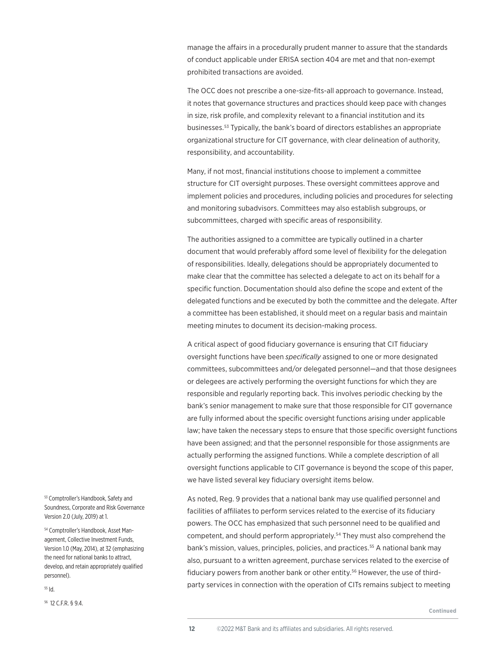manage the affairs in a procedurally prudent manner to assure that the standards of conduct applicable under ERISA section 404 are met and that non-exempt prohibited transactions are avoided.

The OCC does not prescribe a one-size-fits-all approach to governance. Instead, it notes that governance structures and practices should keep pace with changes in size, risk profile, and complexity relevant to a financial institution and its businesses.53 Typically, the bank's board of directors establishes an appropriate organizational structure for CIT governance, with clear delineation of authority, responsibility, and accountability.

Many, if not most, financial institutions choose to implement a committee structure for CIT oversight purposes. These oversight committees approve and implement policies and procedures, including policies and procedures for selecting and monitoring subadvisors. Committees may also establish subgroups, or subcommittees, charged with specific areas of responsibility.

The authorities assigned to a committee are typically outlined in a charter document that would preferably afford some level of flexibility for the delegation of responsibilities. Ideally, delegations should be appropriately documented to make clear that the committee has selected a delegate to act on its behalf for a specific function. Documentation should also define the scope and extent of the delegated functions and be executed by both the committee and the delegate. After a committee has been established, it should meet on a regular basis and maintain meeting minutes to document its decision-making process.

A critical aspect of good fiduciary governance is ensuring that CIT fiduciary oversight functions have been *specifically* assigned to one or more designated committees, subcommittees and/or delegated personnel—and that those designees or delegees are actively performing the oversight functions for which they are responsible and regularly reporting back. This involves periodic checking by the bank's senior management to make sure that those responsible for CIT governance are fully informed about the specific oversight functions arising under applicable law; have taken the necessary steps to ensure that those specific oversight functions have been assigned; and that the personnel responsible for those assignments are actually performing the assigned functions. While a complete description of all oversight functions applicable to CIT governance is beyond the scope of this paper, we have listed several key fiduciary oversight items below.

As noted, Reg. 9 provides that a national bank may use qualified personnel and facilities of affiliates to perform services related to the exercise of its fiduciary powers. The OCC has emphasized that such personnel need to be qualified and competent, and should perform appropriately.<sup>54</sup> They must also comprehend the bank's mission, values, principles, policies, and practices.<sup>55</sup> A national bank may also, pursuant to a written agreement, purchase services related to the exercise of fiduciary powers from another bank or other entity.<sup>56</sup> However, the use of thirdparty services in connection with the operation of CITs remains subject to meeting

53 Comptroller's Handbook, Safety and Soundness, Corporate and Risk Governance Version 2.0 (July, 2019) at 1.

54 Comptroller's Handbook, Asset Management, Collective Investment Funds, Version 1.0 (May, 2014), at 32 (emphasizing the need for national banks to attract, develop, and retain appropriately qualified personnel).

55 Id.

56 12 C.F.R. § 9.4.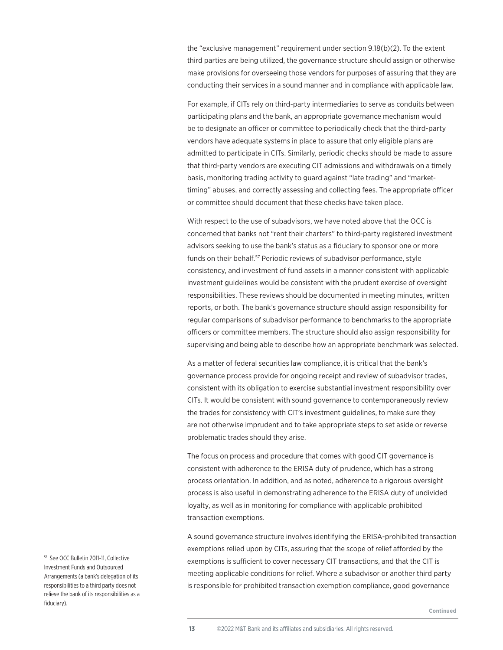the "exclusive management" requirement under section 9.18(b)(2). To the extent third parties are being utilized, the governance structure should assign or otherwise make provisions for overseeing those vendors for purposes of assuring that they are conducting their services in a sound manner and in compliance with applicable law.

For example, if CITs rely on third-party intermediaries to serve as conduits between participating plans and the bank, an appropriate governance mechanism would be to designate an officer or committee to periodically check that the third-party vendors have adequate systems in place to assure that only eligible plans are admitted to participate in CITs. Similarly, periodic checks should be made to assure that third-party vendors are executing CIT admissions and withdrawals on a timely basis, monitoring trading activity to guard against "late trading" and "markettiming" abuses, and correctly assessing and collecting fees. The appropriate officer or committee should document that these checks have taken place.

With respect to the use of subadvisors, we have noted above that the OCC is concerned that banks not "rent their charters" to third-party registered investment advisors seeking to use the bank's status as a fiduciary to sponsor one or more funds on their behalf.<sup>57</sup> Periodic reviews of subadvisor performance, style consistency, and investment of fund assets in a manner consistent with applicable investment guidelines would be consistent with the prudent exercise of oversight responsibilities. These reviews should be documented in meeting minutes, written reports, or both. The bank's governance structure should assign responsibility for regular comparisons of subadvisor performance to benchmarks to the appropriate officers or committee members. The structure should also assign responsibility for supervising and being able to describe how an appropriate benchmark was selected.

As a matter of federal securities law compliance, it is critical that the bank's governance process provide for ongoing receipt and review of subadvisor trades, consistent with its obligation to exercise substantial investment responsibility over CITs. It would be consistent with sound governance to contemporaneously review the trades for consistency with CIT's investment guidelines, to make sure they are not otherwise imprudent and to take appropriate steps to set aside or reverse problematic trades should they arise.

The focus on process and procedure that comes with good CIT governance is consistent with adherence to the ERISA duty of prudence, which has a strong process orientation. In addition, and as noted, adherence to a rigorous oversight process is also useful in demonstrating adherence to the ERISA duty of undivided loyalty, as well as in monitoring for compliance with applicable prohibited transaction exemptions.

A sound governance structure involves identifying the ERISA-prohibited transaction exemptions relied upon by CITs, assuring that the scope of relief afforded by the exemptions is sufficient to cover necessary CIT transactions, and that the CIT is meeting applicable conditions for relief. Where a subadvisor or another third party is responsible for prohibited transaction exemption compliance, good governance

57 See OCC Bulletin 2011-11, Collective Investment Funds and Outsourced Arrangements (a bank's delegation of its responsibilities to a third party does not relieve the bank of its responsibilities as a fiduciary).